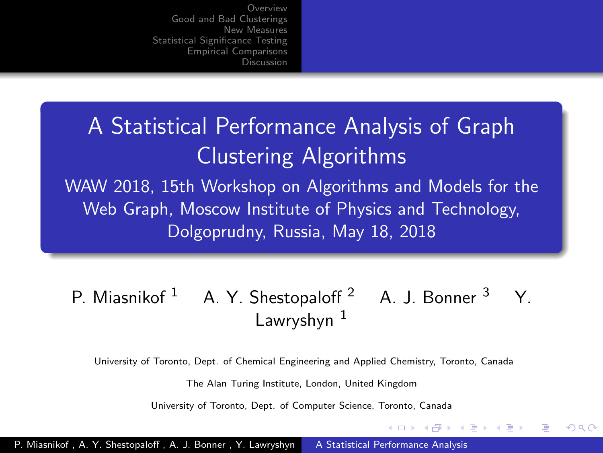# <span id="page-0-0"></span>A Statistical Performance Analysis of Graph Clustering Algorithms

WAW 2018, 15th Workshop on Algorithms and Models for the Web Graph, Moscow Institute of Physics and Technology, Dolgoprudny, Russia, May 18, 2018

#### P. Miasnikof <sup>1</sup> A. Y. Shestopaloff <sup>2</sup> A. J. Bonner <sup>3</sup> Y. Lawryshyn $1$

University of Toronto, Dept. of Chemical Engineering and Applied Chemistry, Toronto, Canada

The Alan Turing Institute, London, United Kingdom

University of Toronto, Dept. of Computer Science, Toronto, Canada

(ロ) (伊) (手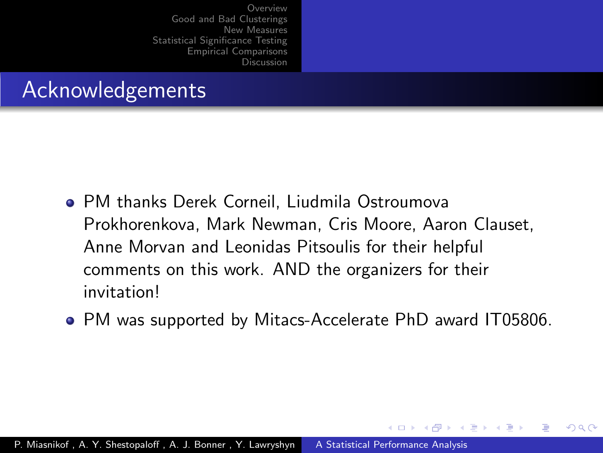## Acknowledgements

- PM thanks Derek Corneil, Liudmila Ostroumova Prokhorenkova, Mark Newman, Cris Moore, Aaron Clauset, Anne Morvan and Leonidas Pitsoulis for their helpful comments on this work. AND the organizers for their invitation!
- PM was supported by Mitacs-Accelerate PhD award IT05806.

 $\overline{AB}$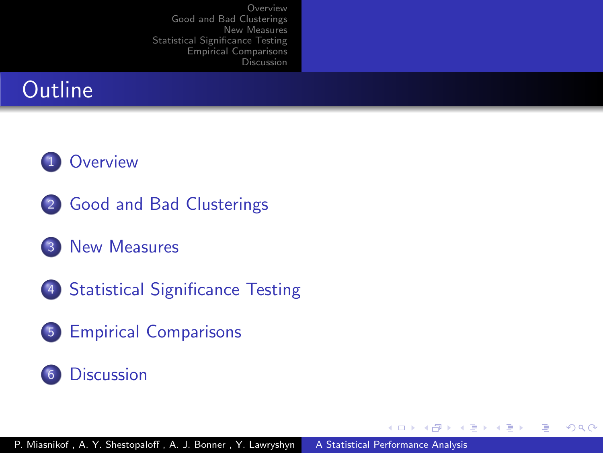



- 2 [Good and Bad Clusterings](#page-9-0)
- 3 [New Measures](#page-13-0)
- 4 [Statistical Significance Testing](#page-20-0)
- 5 [Empirical Comparisons](#page-26-0)

#### 6 [Discussion](#page-31-0)

4 17 18

4 伊 ▶  $\leftarrow$   $\equiv$  重

**State** 

 $\Omega$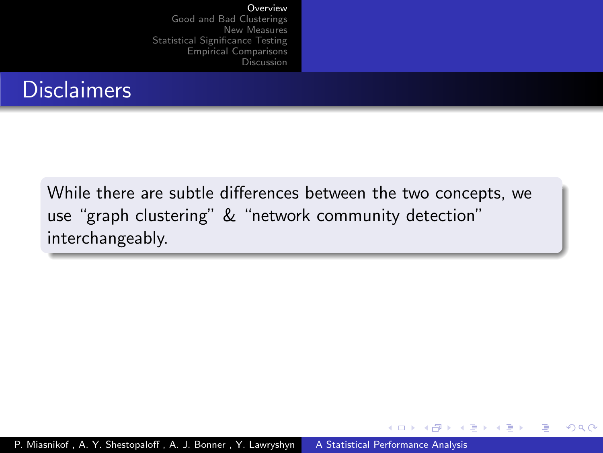## <span id="page-3-0"></span>**Disclaimers**

While there are subtle differences between the two concepts, we use "graph clustering" & "network community detection" interchangeably.

> 4 17 18 → 母→ 一心語

 $\Omega$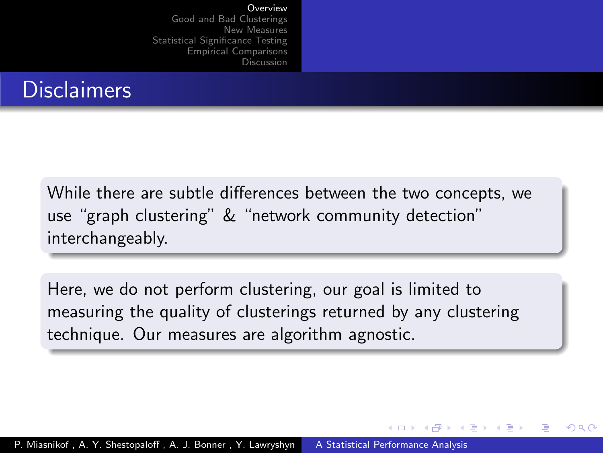## **Disclaimers**

While there are subtle differences between the two concepts, we use "graph clustering" & "network community detection" interchangeably.

Here, we do not perform clustering, our goal is limited to measuring the quality of clusterings returned by any clustering technique. Our measures are algorithm agnostic.

 $\rightarrow$   $\oplus$   $\rightarrow$   $\rightarrow$   $\oplus$   $\rightarrow$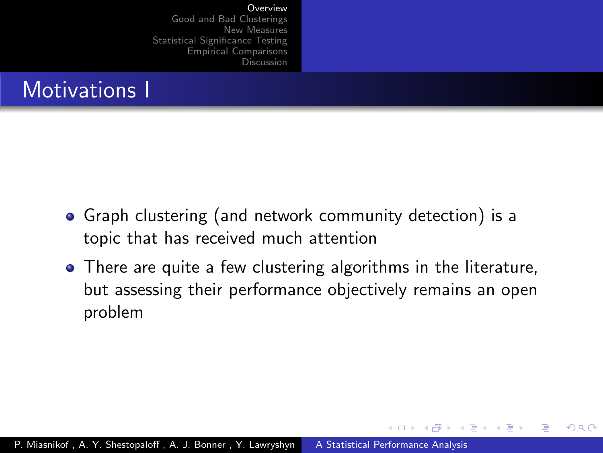

- Graph clustering (and network community detection) is a topic that has received much attention
- There are quite a few clustering algorithms in the literature, but assessing their performance objectively remains an open problem

 $\overline{AB}$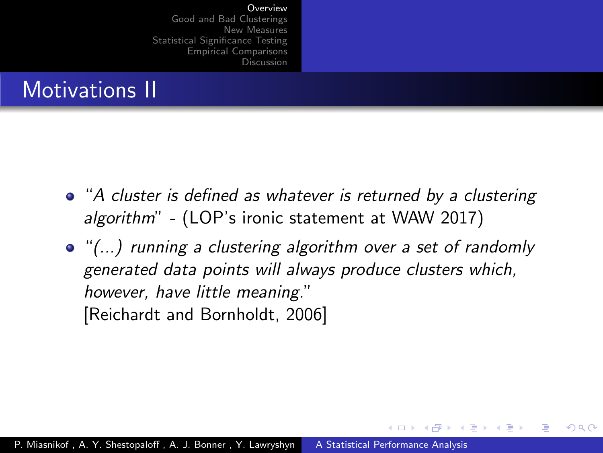# Motivations II

- "A cluster is defined as whatever is returned by a clustering algorithm" - (LOP's ironic statement at WAW 2017)
- "(...) running a clustering algorithm over a set of randomly generated data points will always produce clusters which, however, have little meaning." [\[Reichardt and Bornholdt, 2006\]](#page-35-0)

 $\mathcal{A} \leftarrow \mathcal{A} \times \mathcal{A} \times \mathcal{B}$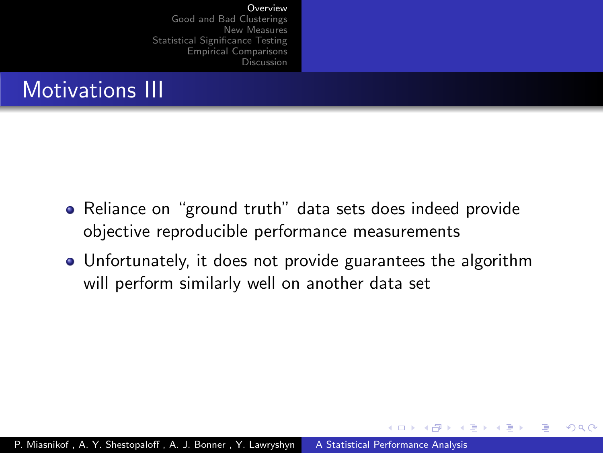

- Reliance on "ground truth" data sets does indeed provide objective reproducible performance measurements
- Unfortunately, it does not provide guarantees the algorithm will perform similarly well on another data set

**1周)** 

 $\Omega$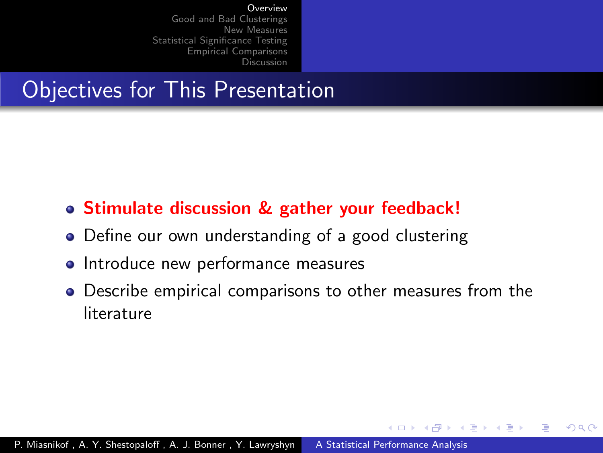## Objectives for This Presentation

- Stimulate discussion & gather your feedback!
- Define our own understanding of a good clustering
- Introduce new performance measures
- Describe empirical comparisons to other measures from the literature

**1周)**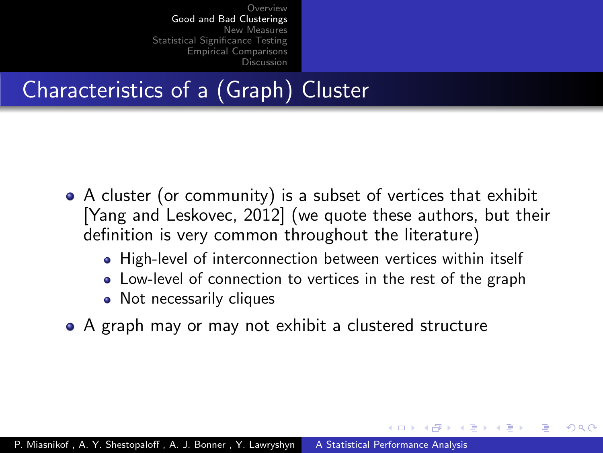# <span id="page-9-0"></span>Characteristics of a (Graph) Cluster

- A cluster (or community) is a subset of vertices that exhibit [\[Yang and Leskovec, 2012\]](#page-35-1) (we quote these authors, but their definition is very common throughout the literature)
	- High-level of interconnection between vertices within itself
	- Low-level of connection to vertices in the rest of the graph

- Not necessarily cliques
- A graph may or may not exhibit a clustered structure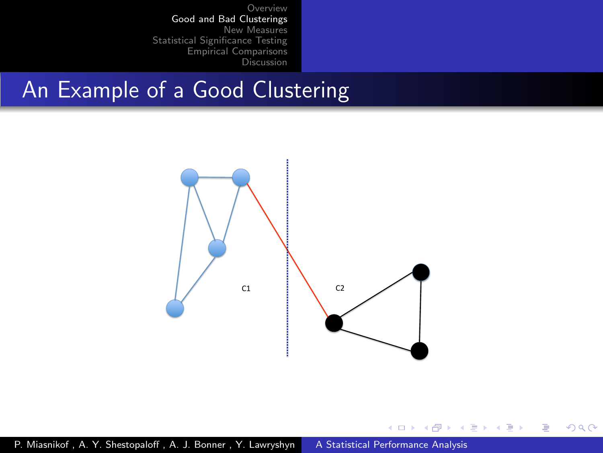#### An Example of a Good Clustering



4 0 8 ∢母  $\sim$ ×. 造  $\mathbf{h}$ э **In** ∍ つくへ

×.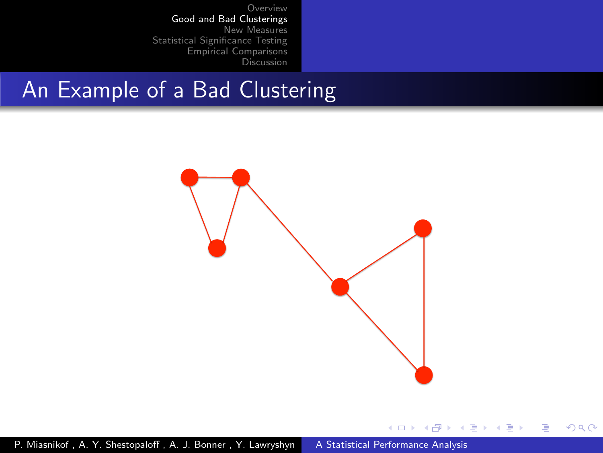### An Example of a Bad Clustering



4日 8 4 伊  $\,$ - 4 三  $\sim$ ÷. **In** ∍ つくへ

×.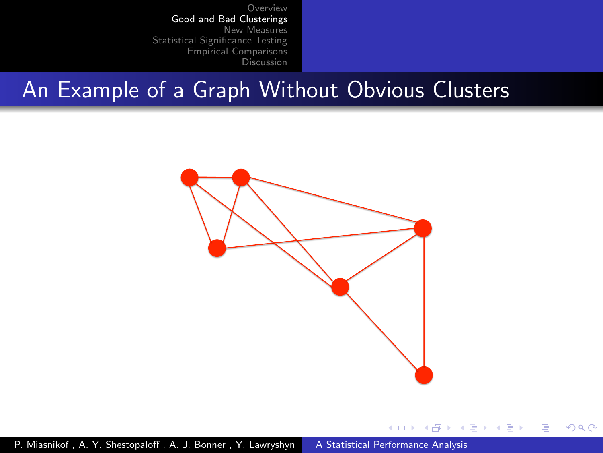#### An Example of a Graph Without Obvious Clusters



4 17 18 ∢母  $\sim$ 4. 重  $\mathbf{h}$  $\equiv$   $\rightarrow$   $QQ$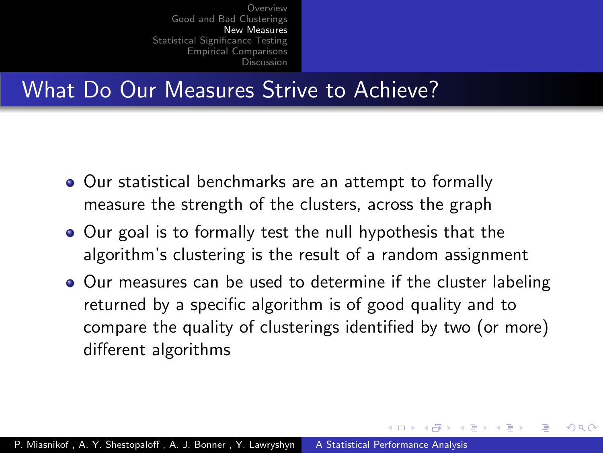### <span id="page-13-0"></span>What Do Our Measures Strive to Achieve?

- Our statistical benchmarks are an attempt to formally measure the strength of the clusters, across the graph
- Our goal is to formally test the null hypothesis that the algorithm's clustering is the result of a random assignment
- Our measures can be used to determine if the cluster labeling returned by a specific algorithm is of good quality and to compare the quality of clusterings identified by two (or more) different algorithms

 $\overline{AB}$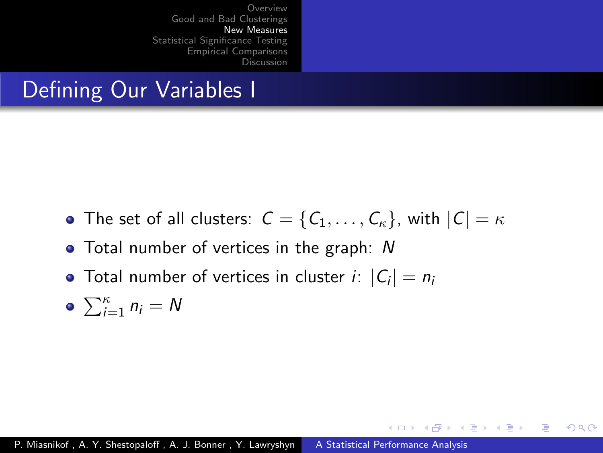## Defining Our Variables I

• The set of all clusters:  $C = \{C_1, \ldots, C_{\kappa}\}\$ , with  $|C| = \kappa$ 

**K ロ ▶ K 何 ▶ K ヨ ▶** 

 $200$ 

- Total number of vertices in the graph: N
- Total number of vertices in cluster  $i$ :  $|C_i| = n_i$

$$
\bullet \ \sum_{i=1}^{\kappa} n_i = N
$$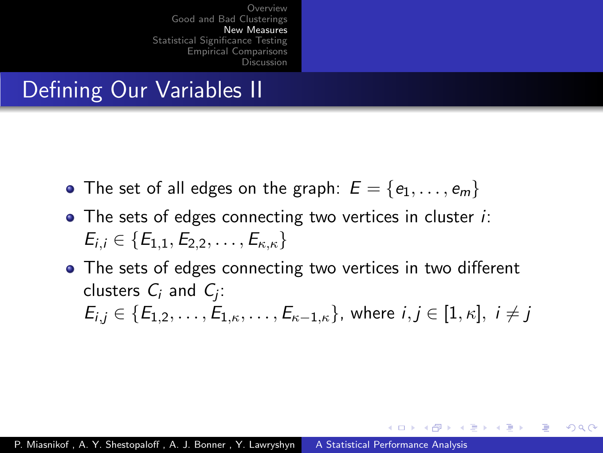## Defining Our Variables II

- The set of all edges on the graph:  $E = \{e_1, \ldots, e_m\}$
- The sets of edges connecting two vertices in cluster *i*:  $E_{i,j} \in \{E_{1,1}, E_{2,2}, \ldots, E_{\kappa,\kappa}\}\$
- The sets of edges connecting two vertices in two different clusters  $C_i$  and  $C_j$ :  $E_{i,j} \in \{E_{1,2}, \ldots, E_{1,\kappa}, \ldots, E_{\kappa-1,\kappa}\}\$ , where  $i, j \in [1,\kappa], i \neq j$

∢何 ▶ ∢ ヨ ▶ ∢ ヨ ▶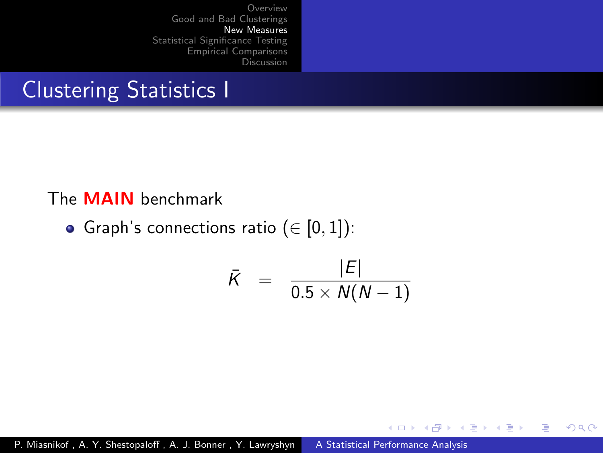## Clustering Statistics I

#### The MAIN benchmark

Graph's connections ratio ( $\in$  [0, 1]):

$$
\bar{K} = \frac{|E|}{0.5 \times N(N-1)}
$$

4 0 8

→ 母→ 一心語 - 4 三

 $\sim$ 

 $\sim$ 

 $QQ$ 

∍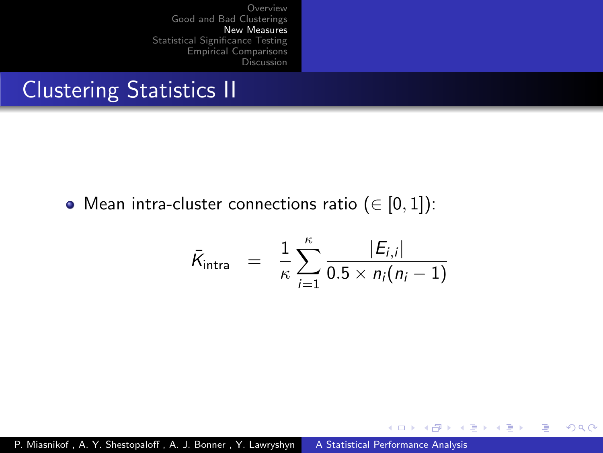## Clustering Statistics II

 $\bullet$  Mean intra-cluster connections ratio ( $\in$  [0, 1]):

$$
\bar{K}_{\text{intra}} = \frac{1}{\kappa} \sum_{i=1}^{\kappa} \frac{|E_{i,i}|}{0.5 \times n_i(n_i-1)}
$$

 $2990$ 

э

**K ロ ▶ K 何 ▶ K ヨ ▶** 

→ 手下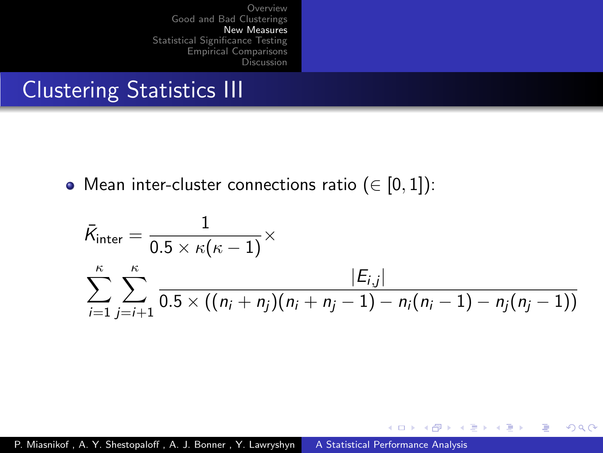## Clustering Statistics III

 $\bullet$  Mean inter-cluster connections ratio ( $\in$  [0, 1]):

$$
\bar{K}_{\text{inter}} = \frac{1}{0.5 \times \kappa(\kappa - 1)} \times \sum_{i=1}^{\kappa} \sum_{j=i+1}^{\kappa} \frac{|E_{i,j}|}{0.5 \times ((n_i + n_j)(n_i + n_j - 1) - n_i(n_i - 1) - n_j(n_j - 1))}
$$

4 0 8 → 母→ 一 4 三  $2990$ 

э

重

 $\sim$ 41  $\sim$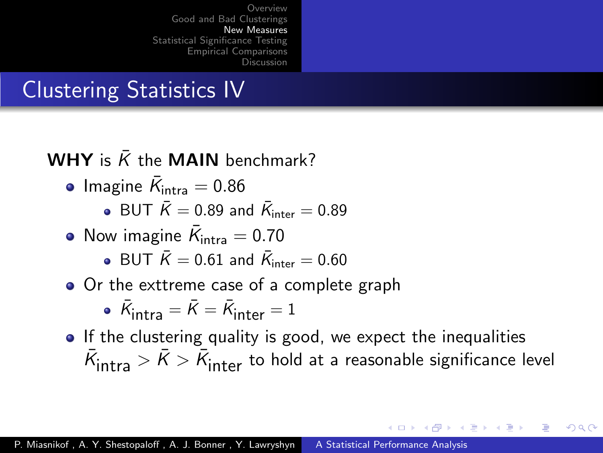# Clustering Statistics IV

#### WHY is  $\overline{K}$  the MAIN benchmark?

- Imagine  $\bar{\mathcal{K}}_{\mathsf{intra}}=0.86$ 
	- BUT  $\bar{K} = 0.89$  and  $\bar{K}_{\text{inter}} = 0.89$
- Now imagine  $\bar{K}_{\text{intra}} = 0.70$ 
	- BUT  $\bar{K} = 0.61$  and  $\bar{K}_{\text{inter}} = 0.60$
- Or the exttreme case of a complete graph

• 
$$
\bar{K}_{intra} = \bar{K} = \bar{K}_{inter} = 1
$$

• If the clustering quality is good, we expect the inequalities  $\bar{\mathcal{K}}_\mathsf{intra} > \bar{\mathcal{K}} > \bar{\mathcal{K}}_\mathsf{inter}$  to hold at a reasonable significance level

 $\mathcal{A}$   $\mathcal{A}$   $\mathcal{B}$   $\mathcal{A}$   $\mathcal{B}$   $\mathcal{B}$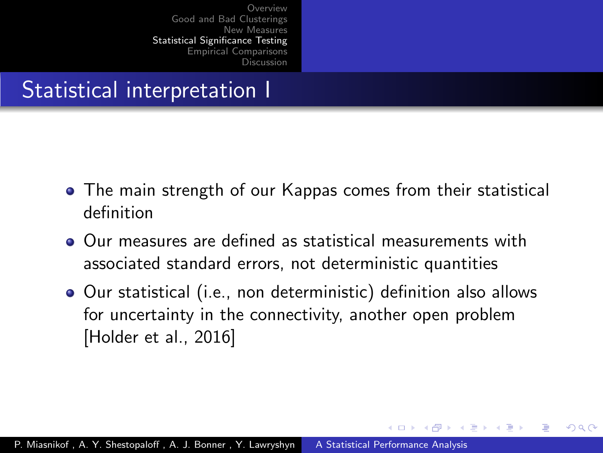## <span id="page-20-0"></span>Statistical interpretation I

- The main strength of our Kappas comes from their statistical definition
- Our measures are defined as statistical measurements with associated standard errors, not deterministic quantities
- Our statistical (i.e., non deterministic) definition also allows for uncertainty in the connectivity, another open problem [\[Holder et al., 2016\]](#page-35-2)

 $\overline{AB}$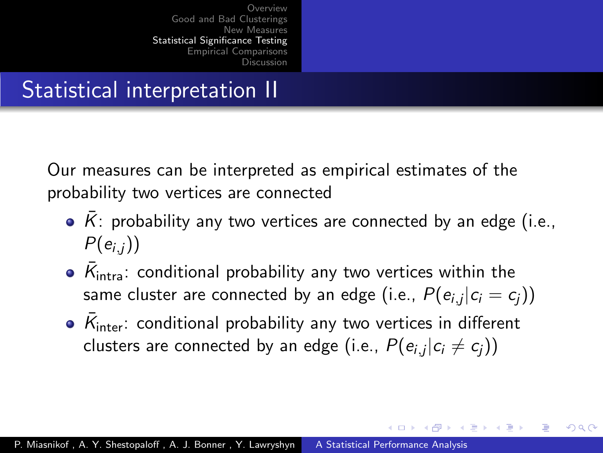## Statistical interpretation II

Our measures can be interpreted as empirical estimates of the probability two vertices are connected

- $\cdot$   $\overline{K}$ : probability any two vertices are connected by an edge (i.e.,  $P(e_{i,i})$
- $\bar{\mathcal{K}}_{\mathsf{intra}}$ : conditional probability any two vertices within the same cluster are connected by an edge (i.e.,  $P(e_{i,j}|c_i=c_j))$
- $\bar{\mathcal{K}}_{\mathsf{inter}}$ : conditional probability any two vertices in different clusters are connected by an edge (i.e.,  $P(e_{i,j}|c_i\not=c_j))$

**Adviti**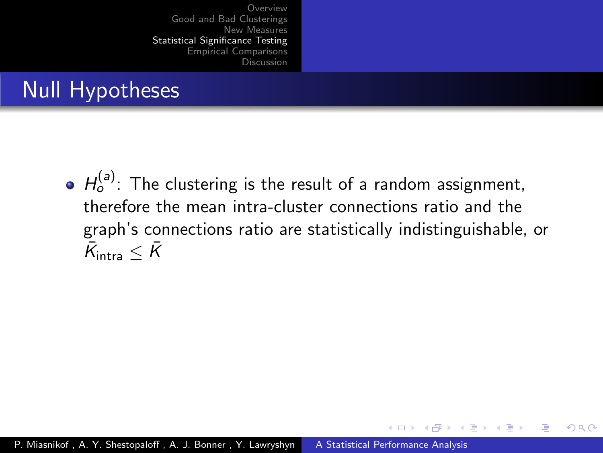# Null Hypotheses

 $H_o^{(a)}$ : The clustering is the result of a random assignment, therefore the mean intra-cluster connections ratio and the graph's connections ratio are statistically indistinguishable, or  $\bar{\mathcal{K}}_{\text{intra}} \leq \bar{\mathcal{K}}$ 

∢ ロ ▶ . ∢ 何 ▶ . ∢ ヨ ▶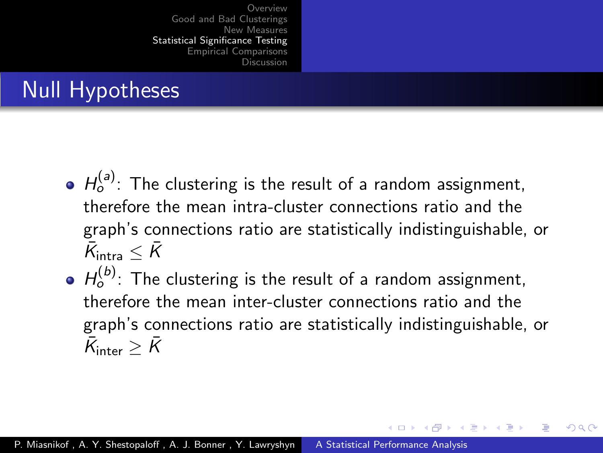# Null Hypotheses

- $H_o^{(a)}$ : The clustering is the result of a random assignment, therefore the mean intra-cluster connections ratio and the graph's connections ratio are statistically indistinguishable, or  $\bar{\mathcal{K}}_{\text{intra}} \leq \bar{\mathcal{K}}$
- $H_o^{(b)}$ : The clustering is the result of a random assignment, therefore the mean inter-cluster connections ratio and the graph's connections ratio are statistically indistinguishable, or  $\bar{\mathcal{K}}_{\mathsf{inter}} \geq \bar{\mathcal{K}}$

→ 伊 ▶ → 手 ▶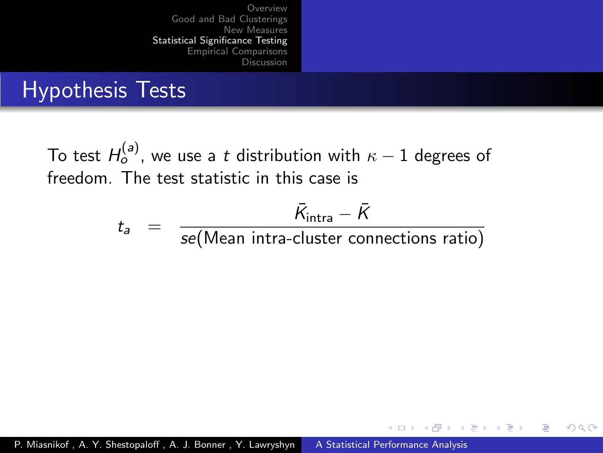# Hypothesis Tests

To test  $H_o^{(a)}$ , we use a  $t$  distribution with  $\kappa-1$  degrees of freedom. The test statistic in this case is

$$
t_a = \frac{\bar{K}_{\text{intra}} - \bar{K}}{\text{se}(\text{Mean intra-cluster connections ratio})}
$$

**K ロ ▶ K 何 ▶ K ヨ ▶** 

**ALCOHOL:** 

 $\Omega$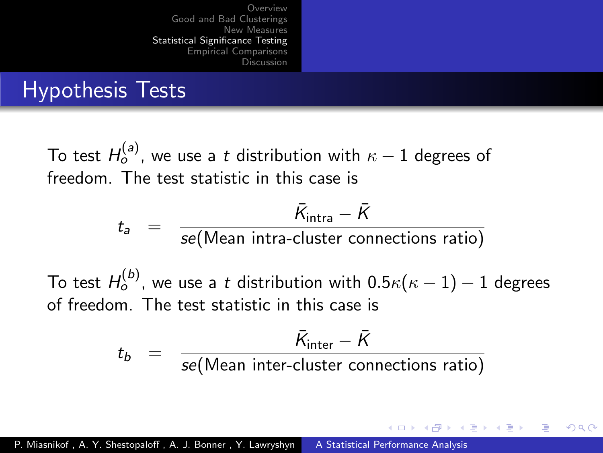## Hypothesis Tests

To test  $H_o^{(a)}$ , we use a  $t$  distribution with  $\kappa-1$  degrees of freedom. The test statistic in this case is

$$
t_a = \frac{\bar{K}_{\text{intra}} - \bar{K}}{\text{se}(\text{Mean intra-cluster connections ratio})}
$$

To test  $H_o^{(b)}$ , we use a  $t$  distribution with  $0.5\kappa(\kappa-1)-1$  degrees of freedom. The test statistic in this case is

$$
t_b = \frac{\bar{K}_{\text{inter}} - \bar{K}}{se(\text{Mean inter-cluster connections ratio})}
$$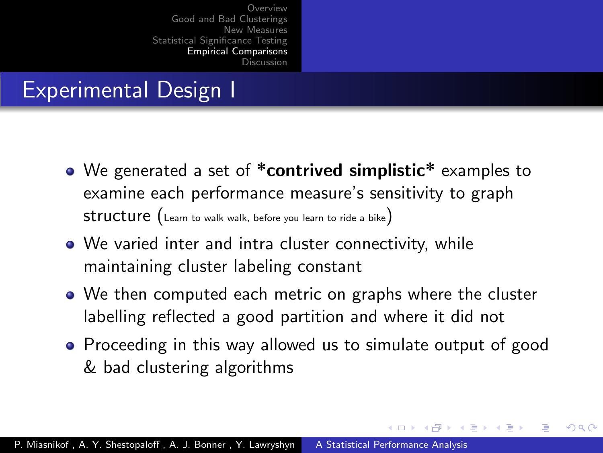# <span id="page-26-0"></span>Experimental Design I

- We generated a set of \*contrived simplistic\* examples to examine each performance measure's sensitivity to graph structure (Learn to walk walk, before you learn to ride a bike)
- We varied inter and intra cluster connectivity, while maintaining cluster labeling constant
- We then computed each metric on graphs where the cluster labelling reflected a good partition and where it did not
- Proceeding in this way allowed us to simulate output of good & bad clustering algorithms

**K ロ ト K 何 ト K ヨ ト**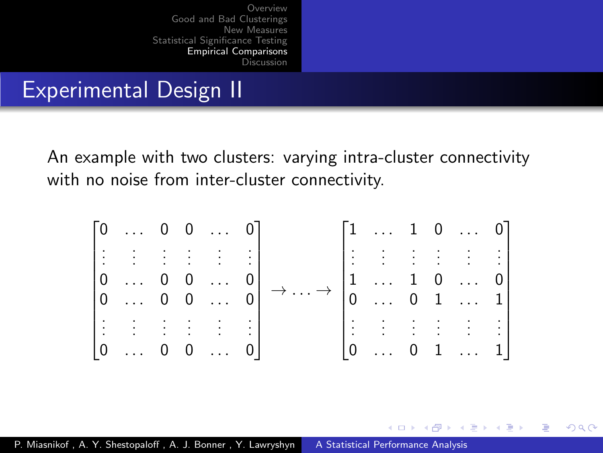#### Experimental Design II

An example with two clusters: varying intra-cluster connectivity with no noise from inter-cluster connectivity.



一 4 三 下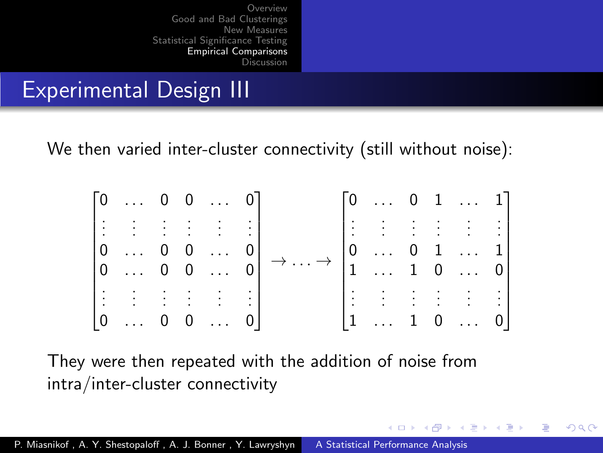## Experimental Design III

We then varied inter-cluster connectivity (still without noise):

|  |                                                           |                | $\begin{bmatrix} 0 & \dots & 0 & 0 & \dots & 0 \end{bmatrix}$ |              |                 | $\begin{bmatrix} 0 & \dots & 0 & 1 & \dots & 1 \end{bmatrix}$                                                        |    |                                         |                |
|--|-----------------------------------------------------------|----------------|---------------------------------------------------------------|--------------|-----------------|----------------------------------------------------------------------------------------------------------------------|----|-----------------------------------------|----------------|
|  | $\mathbb{R}^3$                                            | $\sim$         | $\sim$ 100 $\pm$                                              |              |                 | <b>BEFEE BEE</b>                                                                                                     |    |                                         |                |
|  | $\begin{bmatrix} 0 & \dots & 0 & 0 & \dots \end{bmatrix}$ |                |                                                               |              |                 |                                                                                                                      |    |                                         |                |
|  |                                                           |                | $\begin{bmatrix} 0 & \dots & 0 & 0 & \dots & 0 \end{bmatrix}$ |              |                 | $\cdot \rightarrow \begin{bmatrix} 0 & \ldots & 0 & 1 & \ldots & 1 \\ 1 & \ldots & 1 & 0 & \ldots & 0 \end{bmatrix}$ |    |                                         |                |
|  | $\sim$<br>$\mathcal{L}^{\text{max}}$                      | $\sim 10^{-1}$ |                                                               | $\mathbb{R}$ | $\mathbf{E}$    | $\mathcal{L}^{\mathcal{L}}$                                                                                          |    | $\mathcal{L}^{\text{max}}_{\text{max}}$ |                |
|  | $\begin{bmatrix} 0 & \dots \end{bmatrix}$                 |                |                                                               |              | $\vert 1 \vert$ |                                                                                                                      | 1. | $\overline{0}$                          | 0 <sup>1</sup> |

4 17 18 → 母→ 一心語 つへへ

They were then repeated with the addition of noise from intra/inter-cluster connectivity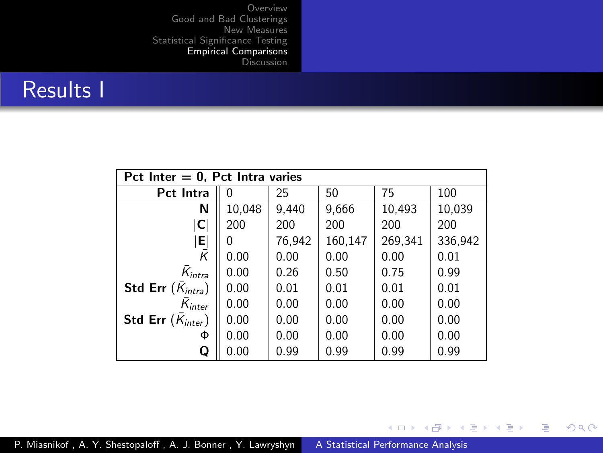#### Results I

| Pct Inter $= 0$ , Pct Intra varies |        |        |         |         |         |  |  |  |  |
|------------------------------------|--------|--------|---------|---------|---------|--|--|--|--|
| Pct Intra                          | 0      | 25     | 50      | 75      | 100     |  |  |  |  |
| N                                  | 10,048 | 9.440  | 9,666   | 10,493  | 10,039  |  |  |  |  |
| $\vert$ C                          | 200    | 200    | 200     | 200     | 200     |  |  |  |  |
| E                                  | 0      | 76,942 | 160,147 | 269,341 | 336,942 |  |  |  |  |
| k                                  | 0.00   | 0.00   | 0.00    | 0.00    | 0.01    |  |  |  |  |
| $\bar{\mathcal{K}}_{intra}$        | 0.00   | 0.26   | 0.50    | 0.75    | 0.99    |  |  |  |  |
| Std Err $(\bar{K}_{intra})$        | 0.00   | 0.01   | 0.01    | 0.01    | 0.01    |  |  |  |  |
| $\bar{\mathcal{K}}_{inter}$        | 0.00   | 0.00   | 0.00    | 0.00    | 0.00    |  |  |  |  |
| Std Err $(K_{inter})$              | 0.00   | 0.00   | 0.00    | 0.00    | 0.00    |  |  |  |  |
| Φ                                  | 0.00   | 0.00   | 0.00    | 0.00    | 0.00    |  |  |  |  |
| Q                                  | 0.00   | 0.99   | 0.99    | 0.99    | 0.99    |  |  |  |  |

イロン イ部ン イ君ン イ君ン

目

 $299$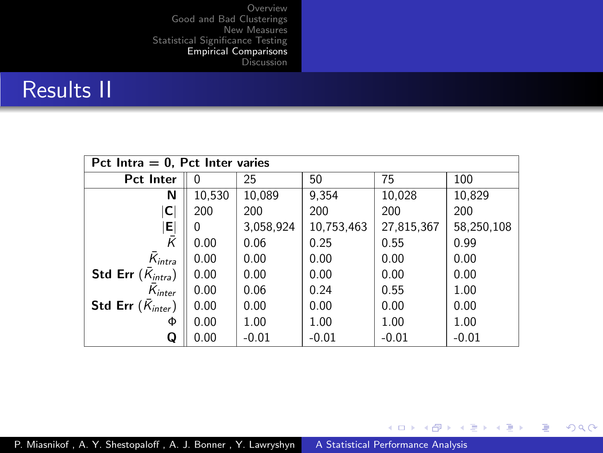#### Results II

| Pct Intra $= 0$ , Pct Inter varies |              |           |            |            |            |  |  |  |  |
|------------------------------------|--------------|-----------|------------|------------|------------|--|--|--|--|
| <b>Pct Inter</b>                   | 0            | 25        | 50         | 75         | 100        |  |  |  |  |
| N                                  | 10,530       | 10,089    | 9,354      | 10,028     | 10,829     |  |  |  |  |
| $ \mathsf{C} $                     | 200          | 200       | 200        | 200        | 200        |  |  |  |  |
| 티                                  | <sup>0</sup> | 3,058,924 | 10,753,463 | 27,815,367 | 58,250,108 |  |  |  |  |
| $\bar{K}$                          | 0.00         | 0.06      | 0.25       | 0.55       | 0.99       |  |  |  |  |
| $\bar{K}_{intra}$                  | 0.00         | 0.00      | 0.00       | 0.00       | 0.00       |  |  |  |  |
| <b>Std Err</b> $(\bar{K}_{intra})$ | 0.00         | 0.00      | 0.00       | 0.00       | 0.00       |  |  |  |  |
| $K_{inter}$                        | 0.00         | 0.06      | 0.24       | 0.55       | 1.00       |  |  |  |  |
| Std Err $(K_{inter})$              | 0.00         | 0.00      | 0.00       | 0.00       | 0.00       |  |  |  |  |
| Φ                                  | 0.00         | 1.00      | 1.00       | 1.00       | 1.00       |  |  |  |  |
| Q                                  | 0.00         | $-0.01$   | $-0.01$    | $-0.01$    | $-0.01$    |  |  |  |  |

イロン イ部ン イ君ン イ君ン

目

 $299$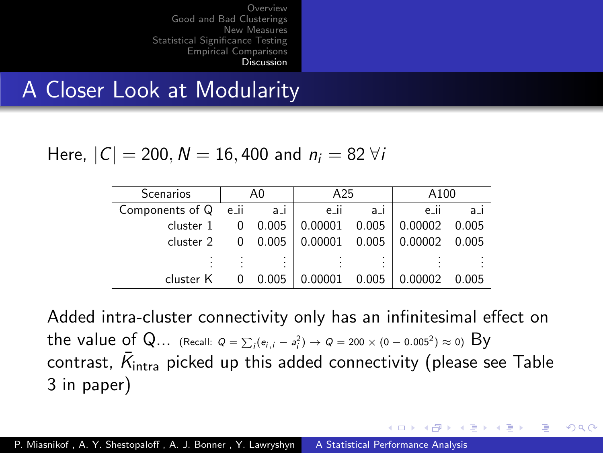#### <span id="page-31-0"></span>A Closer Look at Modularity

Here,  $|C| = 200$ ,  $N = 16,400$  and  $n_i = 82$   $\forall i$ 

| <b>Scenarios</b> |      | A0       | A25       |          | A100        |          |  |
|------------------|------|----------|-----------|----------|-------------|----------|--|
| Components of Q  | e_ii | $a_{-1}$ | $e_{-11}$ | $a_{-1}$ | <br>$e_{-}$ | $a_{-1}$ |  |
| cluster 1        |      | 0.005    | 0.00001   | 0.005    | 0.00002     | 0.005    |  |
| cluster 2        |      | 0.005    | 0.00001   | 0.005    | 0.00002     | 0.005    |  |
| ٠                |      | ٠        |           | ٠        |             |          |  |
| cluster K        |      | 0.005    | 0.00001   | 0.005    | 0.00002     | 0.005    |  |

Added intra-cluster connectivity only has an infinitesimal effect on the value of Q… (Recall:  $Q = \sum_{i} (e_{i,i} - a_i^2) \to Q = 200 \times (0 - 0.005^2) \approx 0)$  By contrast,  $\bar{\mathcal{K}}_{\sf intra}$  picked up this added connectivity (please see Table 3 in paper)

∢ ロ ▶ ( 伊 ) ( ミ ) ( ミ )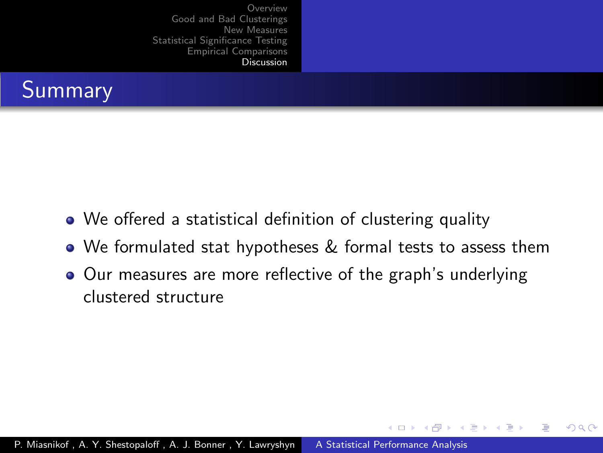

- We offered a statistical definition of clustering quality
- We formulated stat hypotheses & formal tests to assess them

( □ ) ( 何 )

つへへ

• Our measures are more reflective of the graph's underlying clustered structure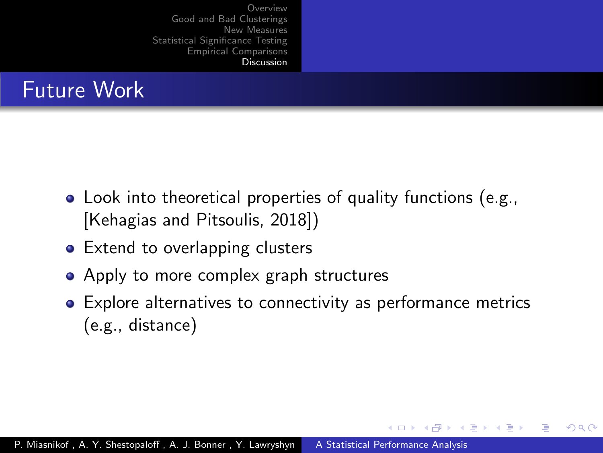# Future Work

- Look into theoretical properties of quality functions (e.g., [\[Kehagias and Pitsoulis, 2018\]](#page-35-3))
- Extend to overlapping clusters
- Apply to more complex graph structures
- Explore alternatives to connectivity as performance metrics (e.g., distance)

 $\left\{ \begin{array}{ccc} 1 & 0 & 0 \\ 0 & 1 & 0 \end{array} \right\}$  ,  $\left\{ \begin{array}{ccc} 1 & 0 & 0 \\ 0 & 1 & 0 \end{array} \right\}$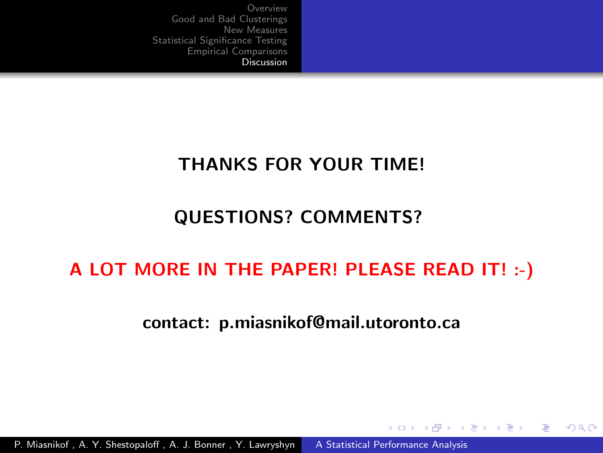#### THANKS FOR YOUR TIME!

#### QUESTIONS? COMMENTS?

#### A LOT MORE IN THE PAPER! PLEASE READ IT! :-)

#### contact: p.miasnikof@mail.utoronto.ca

∢ ロ ▶ → (母 ▶ → (ヨ ▶

**Carl To St** 

 $\Omega$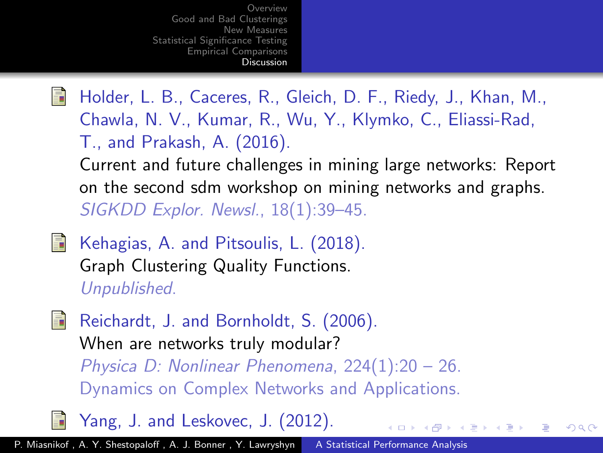<span id="page-35-2"></span>

Holder, L. B., Caceres, R., Gleich, D. F., Riedy, J., Khan, M., Chawla, N. V., Kumar, R., Wu, Y., Klymko, C., Eliassi-Rad, T., and Prakash, A. (2016).

Current and future challenges in mining large networks: Report on the second sdm workshop on mining networks and graphs. SIGKDD Explor. Newsl., 18(1):39–45.

 $\mathcal{A} = \mathcal{A} + \mathcal{A}$ 

つくへ

<span id="page-35-3"></span>ā.

Kehagias, A. and Pitsoulis, L. (2018). Graph Clustering Quality Functions. Unpublished.

<span id="page-35-0"></span>譶 Reichardt, J. and Bornholdt, S. (2006). When are networks truly modular? Physica D: Nonlinear Phenomena, 224(1):20 – 26. Dynamics on Complex Networks and Applications.

<span id="page-35-1"></span>Yang, J. and Leskovec, J. (2012).